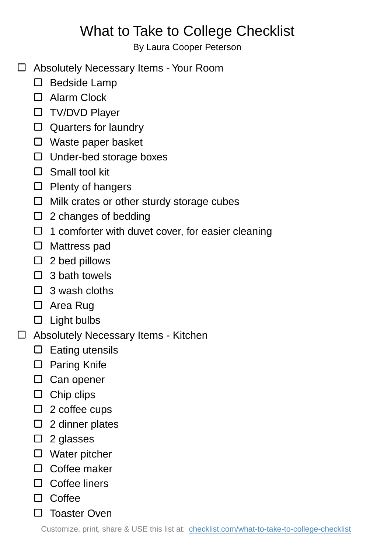## What to Take to College Checklist

By Laura Cooper Peterson

- Absolutely Necessary Items Your Room
	- $\square$  Bedside Lamp
	- □ Alarm Clock
	- □ TV/DVD Player
	- □ Quarters for laundry
	- □ Waste paper basket
	- $\Box$  Under-bed storage boxes
	- □ Small tool kit
	- $\Box$  Plenty of hangers
	- □ Milk crates or other sturdy storage cubes
	- $\square$  2 changes of bedding
	- $\Box$  1 comforter with duvet cover, for easier cleaning
	- □ Mattress pad
	- $\square$  2 bed pillows
	- $\Box$  3 bath towels
	- $\Box$  3 wash cloths
	- □ Area Rug
	- $\square$  Light bulbs
- Absolutely Necessary Items Kitchen
	- $\square$  Eating utensils
	- □ Paring Knife
	- □ Can opener
	- $\Box$  Chip clips
	- $\Box$  2 coffee cups
	- $\square$  2 dinner plates
	- $\Box$  2 glasses
	- □ Water pitcher
	- □ Coffee maker
	- □ Coffee liners
	- $\Box$  Coffee
	- □ Toaster Oven

Customize, print, share & USE this list at: [checklist.com/what-to-take-to-college-checklist](https://checklist.com/what-to-take-to-college-checklist)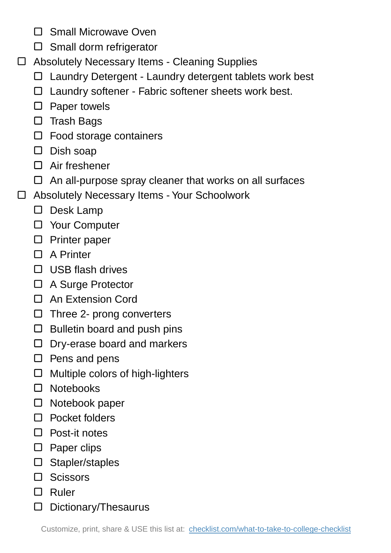- □ Small Microwave Oven
- $\square$  Small dorm refrigerator
- Absolutely Necessary Items Cleaning Supplies
	- □ Laundry Detergent Laundry detergent tablets work best
	- $\Box$  Laundry softener Fabric softener sheets work best.
	- $\square$  Paper towels
	- $\square$  Trash Bags
	- $\Box$  Food storage containers
	- $\square$  Dish soap
	- □ Air freshener
	- $\Box$  An all-purpose spray cleaner that works on all surfaces
- Absolutely Necessary Items Your Schoolwork
	- D Desk Lamp
	- □ Your Computer
	- $\square$  Printer paper
	- □ A Printer
	- $\Box$  USB flash drives
	- A Surge Protector
	- □ An Extension Cord
	- $\Box$  Three 2- prong converters
	- $\Box$  Bulletin board and push pins
	- $\Box$  Dry-erase board and markers
	- $\square$  Pens and pens
	- $\Box$  Multiple colors of high-lighters
	- □ Notebooks
	- $\square$  Notebook paper
	- □ Pocket folders
	- $\Box$  Post-it notes
	- $\square$  Paper clips
	- Stapler/staples
	- $\square$  Scissors
	- □ Ruler
	- Dictionary/Thesaurus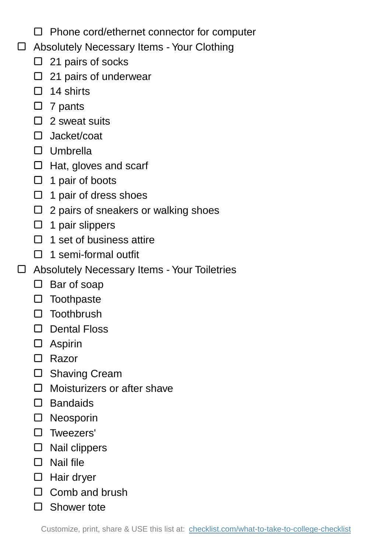- $\Box$  Phone cord/ethernet connector for computer
- Absolutely Necessary Items Your Clothing
	- $\Box$  21 pairs of socks
	- $\Box$  21 pairs of underwear
	- $\Box$  14 shirts
	- $\Box$  7 pants
	- $\Box$  2 sweat suits
	- □ Jacket/coat
	- Umbrella
	- $\Box$  Hat, gloves and scarf
	- $\Box$  1 pair of boots
	- $\Box$  1 pair of dress shoes
	- $\Box$  2 pairs of sneakers or walking shoes
	- $\Box$  1 pair slippers
	- $\Box$  1 set of business attire
	- $\Box$  1 semi-formal outfit
- Absolutely Necessary Items Your Toiletries
	- $\square$  Bar of soap
	- $\square$  Toothpaste
	- □ Toothbrush
	- D Dental Floss
	- Aspirin
	- □ Razor
	- □ Shaving Cream
	- □ Moisturizers or after shave
	- Bandaids
	- Neosporin
	- Tweezers'
	- $\square$  Nail clippers
	- $\square$  Nail file
	- □ Hair dryer
	- $\Box$  Comb and brush
	- □ Shower tote